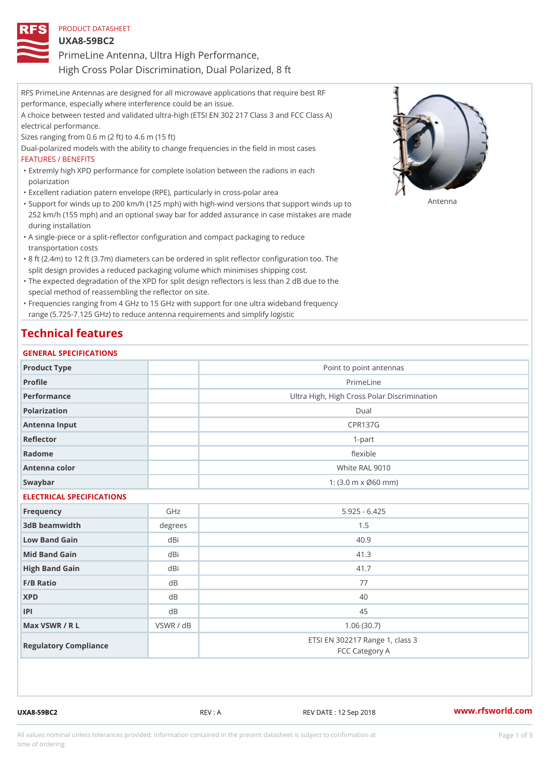| PRODUCT DATASHEET |  |                                            |  |
|-------------------|--|--------------------------------------------|--|
| $UXA8-59BC2$      |  |                                            |  |
|                   |  | PrimeLine Antenna, Ultra High Performance, |  |

High Cross Polar Discrimination, Dual Polarized, 8 ft

| RFS PrimeLine Antennas are designed for all microwave applications that require best RF         |
|-------------------------------------------------------------------------------------------------|
| performance, especially where interference could be an issue.                                   |
| A choice between tested and validated ultra-high (ETSI EN 302 217 Class 3 and FCC Class A)      |
| electrical performance.                                                                         |
| Sizes ranging from $0.6$ m $(2 \text{ ft})$ to $4.6$ m $(15 \text{ ft})$                        |
| Dual-polarized models with the ability to change frequencies in the field in most cases         |
| FEATURES / BENEFITS                                                                             |
| "Extremly high XPD performance for complete isolation between the radions in each               |
| polarization                                                                                    |
| "Excellent radiation patern envelope (RPE), particularly in cross-polar area                    |
|                                                                                                 |
| 252 km/h (155 mph) and an optional sway bar for added assurance in case mistakes are made       |
| during installation                                                                             |
| "A single-piece or a split-reflector configuration and compact packaging to reduce              |
| transportation costs                                                                            |
| "8 ft (2.4m) to 12 ft (3.7m) diameters can be ordered in split reflector configuration too. The |
| split design provides a reduced packaging volume which minimises shipping cost.                 |
| "The expected degradation of the XPD for split design reflectors is less than 2 dB due to the   |

special method of reassembling the reflector on site. Frequencies ranging from 4 GHz to 15 GHz with support for one ultra wideband frequency "

range (5.725-7.125 GHz) to reduce antenna requirements and simplify logistic

## Technical features

### GENERAL SPECIFICATIONS

| Product Type              |           | Point to point antennas                                 |  |
|---------------------------|-----------|---------------------------------------------------------|--|
| Profile                   |           | PrimeLine                                               |  |
| Performance               |           | Ultra High, High Cross Polar Discrimination             |  |
| Polarization              |           | Dual                                                    |  |
| Antenna Input             |           | <b>CPR137G</b>                                          |  |
| Reflector                 |           | $1 - p$ art                                             |  |
| Radome                    |           | flexible                                                |  |
| Antenna color             |           | White RAL 9010                                          |  |
| Swaybar                   |           | 1: $(3.0 \, \text{m} \times \emptyset 60 \, \text{mm})$ |  |
| ELECTRICAL SPECIFICATIONS |           |                                                         |  |
| Frequency                 | GHz       | $5.925 - 6.425$                                         |  |
| 3dB beamwidth             | degrees   | 1.5                                                     |  |
| Low Band Gain             | dBi       | 40.9                                                    |  |
| Mid Band Gain             | dBi       | 41.3                                                    |  |
| High Band Gain            | dBi       | 41.7                                                    |  |
| $F/B$ Ratio               | d B       | 77                                                      |  |
| <b>XPD</b>                | d B       | 40                                                      |  |
| P                         | d B       | 45                                                      |  |
| Max VSWR / R L            | VSWR / dB | 1.06(30.7)                                              |  |
| Regulatory Compliance     |           | ETSI EN 302217 Range 1, class 3<br>FCC Category A       |  |

UXA8-59BC2 REV : A REV DATE : 12 Sep 2018 WWW.rfsworld.com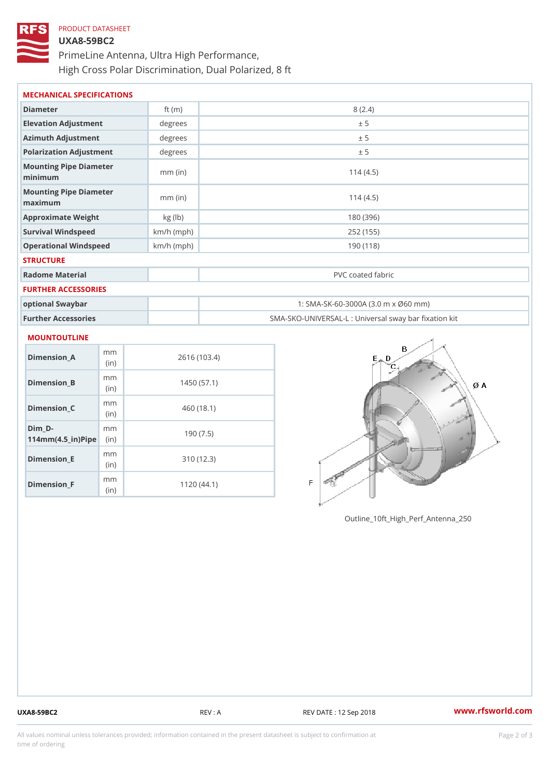# PRODUCT DATASHEET UXA8-59BC2 PrimeLine Antenna, Ultra High Performance, High Cross Polar Discrimination, Dual Polarized, 8 ft

| MECHANICAL SPECIFICATIONS         |              |                                                   |
|-----------------------------------|--------------|---------------------------------------------------|
| Diameter                          | ft $(m)$     | 8(2.4)                                            |
| Elevation Adjustment              | degree       | ± 5                                               |
| Azimuth Adjustment                | degrees      | ± 5                                               |
| Polarization Adjustment           | degrees      | ± 5                                               |
| Mounting Pipe Diameter<br>minimum | $mm$ (in)    | 114(4.5)                                          |
| Mounting Pipe Diameter<br>maximum | $mm$ (in)    | 114(4.5)                                          |
| Approximate Weight                | kg (lb)      | 180 (396)                                         |
| Survival Windspeed                | $km/h$ (mph) | 252 (155)                                         |
| Operational Windspeed             | $km/h$ (mph) | 190 (118)                                         |
| <b>STRUCTURE</b>                  |              |                                                   |
| Radome Material                   |              | PVC coated fabric                                 |
| FURTHER ACCESSORIES               |              |                                                   |
| optional Swaybar                  |              | 1: SMA-SK-60-3000A (3.0 m x Ø60 mm)               |
| Further Accessories               |              | SMA-SKO-UNIVERSAL-L : Universal sway bar fixation |

#### MOUNTOUTLINE

| Dimension A                         | m m<br>(in)  | 2616 (103.4) |
|-------------------------------------|--------------|--------------|
| Dimension_B                         | m m<br>(i n) | 1450(57.1)   |
| Dimension C                         | m m<br>(i n) | 460 (18.1)   |
| Dim D-<br>$114mm(4.5_{ir})$ $R^{i}$ | m m          | 190(7.5)     |
| Dimension_E                         | m m<br>(i n) | 310 (12.3)   |
| Dimension F                         | m m<br>(i n) | 1120 (44.1)  |

Outline\_10ft\_High\_Perf\_Antenna\_250

UXA8-59BC2 REV : A REV DATE : 12 Sep 2018 [www.](https://www.rfsworld.com)rfsworld.com